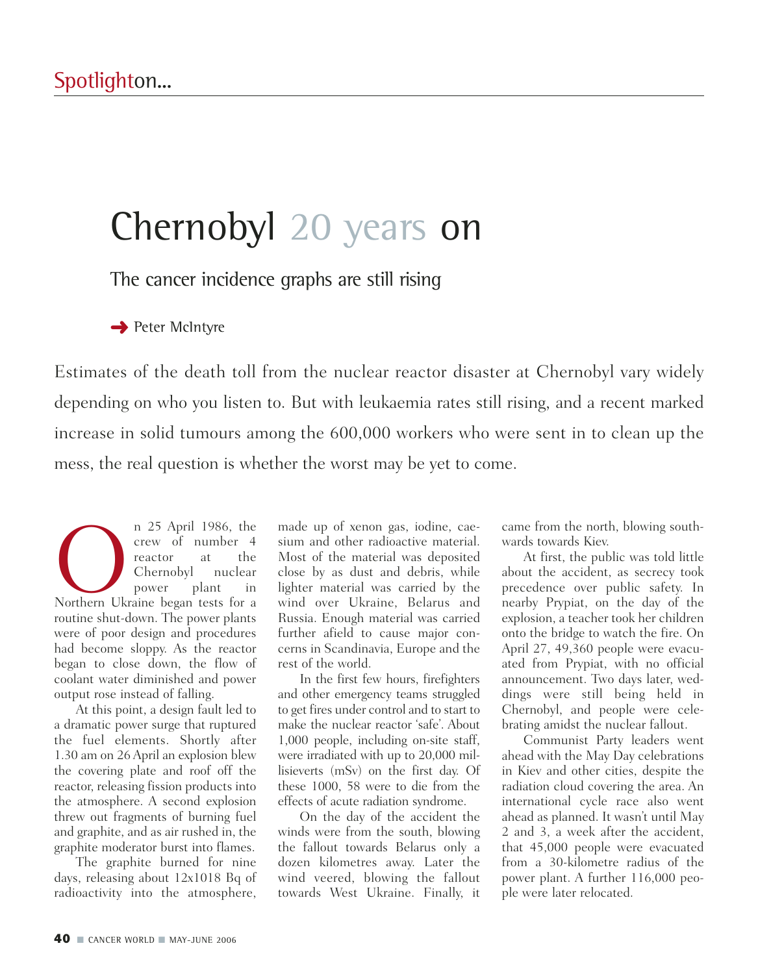## Chernobyl 20 years on

The cancer incidence graphs are still rising

**→** Peter McIntyre

Estimates of the death toll from the nuclear reactor disaster at Chernobyl vary widely depending on who you listen to. But with leukaemia rates still rising, and a recent marked increase in solid tumours among the 600,000 workers who were sent in to clean up the mess, the real question is whether the worst may be yet to come.

n 25 April 1986, the<br>
crew of number 4<br>
reactor at the<br>
Chernobyl nuclear<br>
power plant in<br>
Northern Ukraine began tests for a crew of number 4 reactor at the Chernobyl nuclear power plant in routine shut-down. The power plants were of poor design and procedures had become sloppy. As the reactor began to close down, the flow of coolant water diminished and power output rose instead of falling.

At this point, a design fault led to a dramatic power surge that ruptured the fuel elements. Shortly after 1.30 am on 26 April an explosion blew the covering plate and roof off the reactor, releasing fission products into the atmosphere. A second explosion threw out fragments of burning fuel and graphite, and as air rushed in, the graphite moderator burst into flames.

The graphite burned for nine days, releasing about 12x1018 Bq of radioactivity into the atmosphere, made up of xenon gas, iodine, caesium and other radioactive material. Most of the material was deposited close by as dust and debris, while lighter material was carried by the wind over Ukraine, Belarus and Russia. Enough material was carried further afield to cause major concerns in Scandinavia, Europe and the rest of the world.

In the first few hours, firefighters and other emergency teams struggled to get fires under control and to start to make the nuclear reactor 'safe'. About 1,000 people, including on-site staff, were irradiated with up to 20,000 millisieverts (mSv) on the first day. Of these 1000, 58 were to die from the effects of acute radiation syndrome.

On the day of the accident the winds were from the south, blowing the fallout towards Belarus only a dozen kilometres away. Later the wind veered, blowing the fallout towards West Ukraine. Finally, it

came from the north, blowing southwards towards Kiev.

At first, the public was told little about the accident, as secrecy took precedence over public safety. In nearby Prypiat, on the day of the explosion, a teacher took her children onto the bridge to watch the fire. On April 27, 49,360 people were evacuated from Prypiat, with no official announcement. Two days later, weddings were still being held in Chernobyl, and people were celebrating amidst the nuclear fallout.

Communist Party leaders went ahead with the May Day celebrations in Kiev and other cities, despite the radiation cloud covering the area. An international cycle race also went ahead as planned. It wasn't until May 2 and 3, a week after the accident, that 45,000 people were evacuated from a 30-kilometre radius of the power plant. A further 116,000 people were later relocated.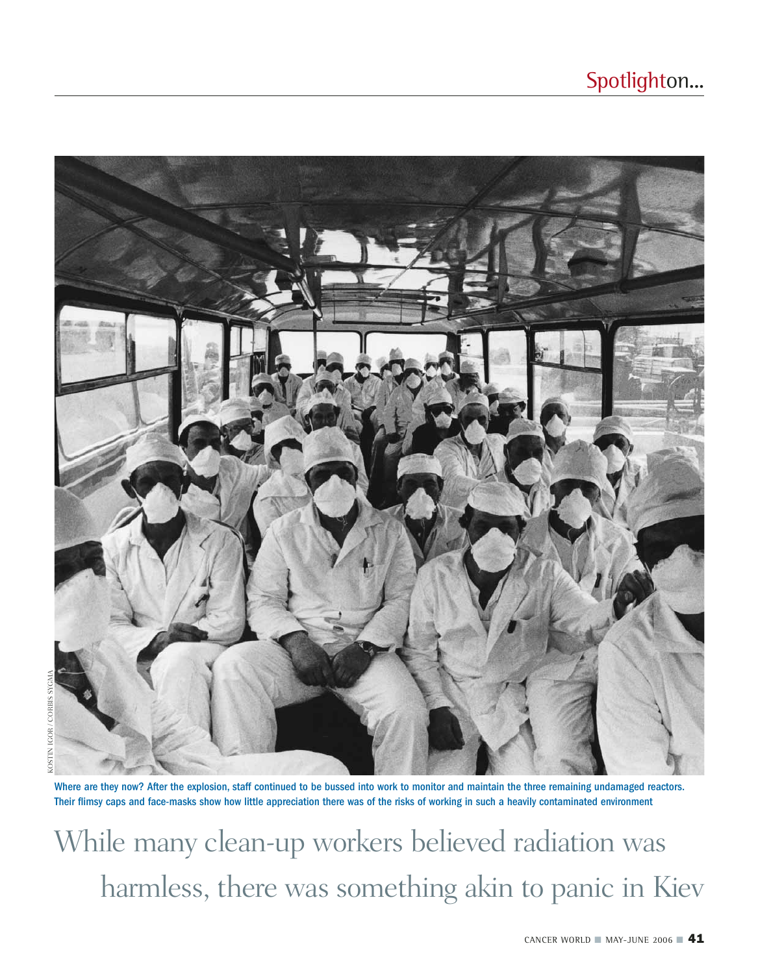

Where are they now? After the explosion, staff continued to be bussed into work to monitor and maintain the three remaining undamaged reactors. Their flimsy caps and face-masks show how little appreciation there was of the risks of working in such a heavily contaminated environment

While many clean-up workers believed radiation was harmless, there was something akin to panic in Kiev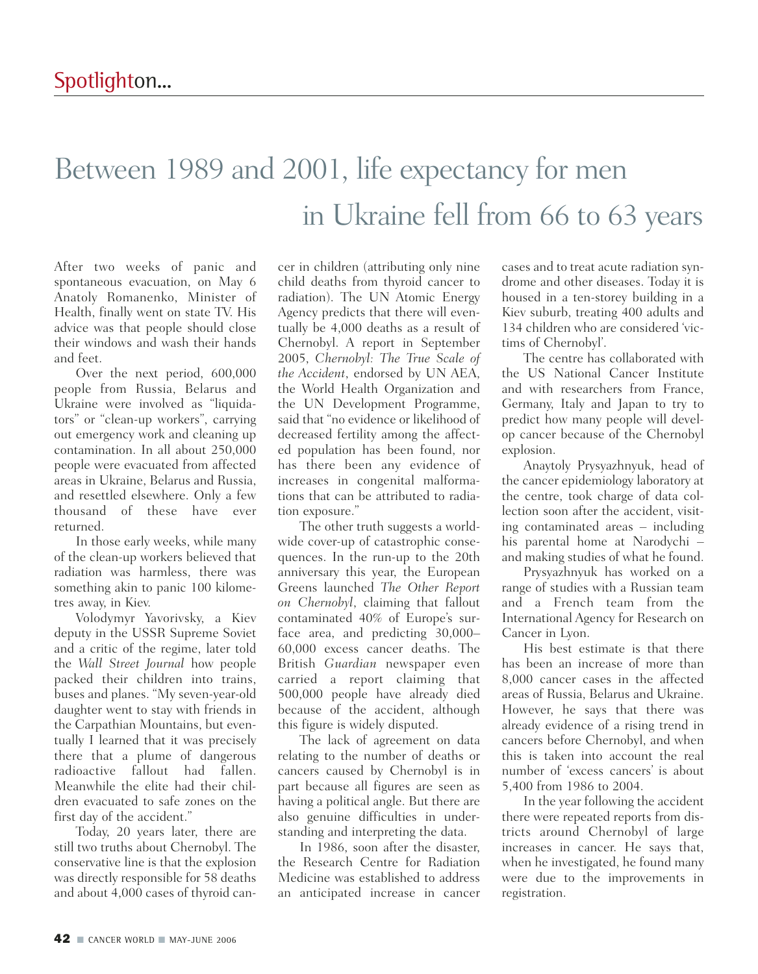## Between 1989 and 2001, life expectancy for men in Ukraine fell from 66 to 63 years

After two weeks of panic and spontaneous evacuation, on May 6 Anatoly Romanenko, Minister of Health, finally went on state TV. His advice was that people should close their windows and wash their hands and feet.

Over the next period, 600,000 people from Russia, Belarus and Ukraine were involved as "liquidators" or "clean-up workers", carrying out emergency work and cleaning up contamination. In all about 250,000 people were evacuated from affected areas in Ukraine, Belarus and Russia, and resettled elsewhere. Only a few thousand of these have ever returned.

In those early weeks, while many of the clean-up workers believed that radiation was harmless, there was something akin to panic 100 kilometres away, in Kiev.

Volodymyr Yavorivsky, a Kiev deputy in the USSR Supreme Soviet and a critic of the regime, later told the *Wall Street Journal* how people packed their children into trains, buses and planes. "My seven-year-old daughter went to stay with friends in the Carpathian Mountains, but eventually I learned that it was precisely there that a plume of dangerous radioactive fallout had fallen. Meanwhile the elite had their children evacuated to safe zones on the first day of the accident."

Today, 20 years later, there are still two truths about Chernobyl. The conservative line is that the explosion was directly responsible for 58 deaths and about 4,000 cases of thyroid can-

cer in children (attributing only nine child deaths from thyroid cancer to radiation). The UN Atomic Energy Agency predicts that there will eventually be 4,000 deaths as a result of Chernobyl. A report in September 2005, *Chernobyl: The True Scale of the Accident*, endorsed by UN AEA, the World Health Organization and the UN Development Programme, said that "no evidence or likelihood of decreased fertility among the affected population has been found, nor has there been any evidence of increases in congenital malformations that can be attributed to radiation exposure."

The other truth suggests a worldwide cover-up of catastrophic consequences. In the run-up to the 20th anniversary this year, the European Greens launched *The Other Report on Chernobyl*, claiming that fallout contaminated 40% of Europe's surface area, and predicting 30,000– 60,000 excess cancer deaths. The British *Guardian* newspaper even carried a report claiming that 500,000 people have already died because of the accident, although this figure is widely disputed.

The lack of agreement on data relating to the number of deaths or cancers caused by Chernobyl is in part because all figures are seen as having a political angle. But there are also genuine difficulties in understanding and interpreting the data.

In 1986, soon after the disaster, the Research Centre for Radiation Medicine was established to address an anticipated increase in cancer cases and to treat acute radiation syndrome and other diseases. Today it is housed in a ten-storey building in a Kiev suburb, treating 400 adults and 134 children who are considered 'victims of Chernobyl'.

The centre has collaborated with the US National Cancer Institute and with researchers from France, Germany, Italy and Japan to try to predict how many people will develop cancer because of the Chernobyl explosion.

Anaytoly Prysyazhnyuk, head of the cancer epidemiology laboratory at the centre, took charge of data collection soon after the accident, visiting contaminated areas – including his parental home at Narodychi – and making studies of what he found.

Prysyazhnyuk has worked on a range of studies with a Russian team and a French team from the International Agency for Research on Cancer in Lyon.

His best estimate is that there has been an increase of more than 8,000 cancer cases in the affected areas of Russia, Belarus and Ukraine. However, he says that there was already evidence of a rising trend in cancers before Chernobyl, and when this is taken into account the real number of 'excess cancers' is about 5,400 from 1986 to 2004.

In the year following the accident there were repeated reports from districts around Chernobyl of large increases in cancer. He says that, when he investigated, he found many were due to the improvements in registration.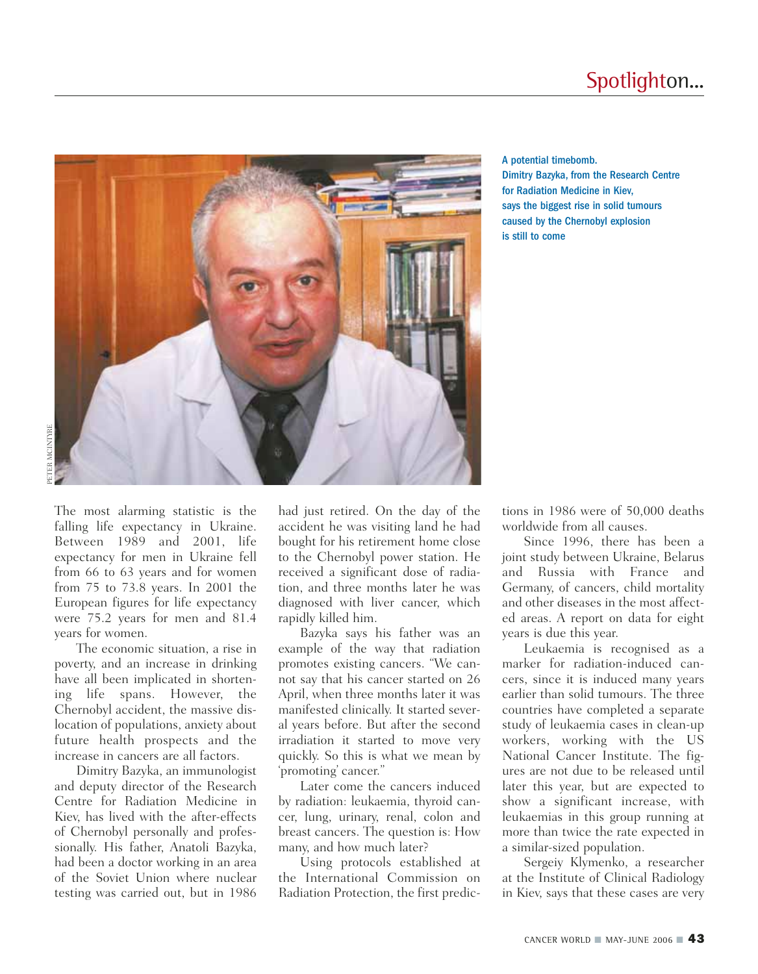

A potential timebomb. Dimitry Bazyka, from the Research Centre for Radiation Medicine in Kiev, says the biggest rise in solid tumours caused by the Chernobyl explosion is still to come

The most alarming statistic is the falling life expectancy in Ukraine. Between 1989 and 2001, life expectancy for men in Ukraine fell from 66 to 63 years and for women from 75 to 73.8 years. In 2001 the European figures for life expectancy were 75.2 years for men and 81.4 years for women.

The economic situation, a rise in poverty, and an increase in drinking have all been implicated in shortening life spans. However, the Chernobyl accident, the massive dislocation of populations, anxiety about future health prospects and the increase in cancers are all factors.

Dimitry Bazyka, an immunologist and deputy director of the Research Centre for Radiation Medicine in Kiev, has lived with the after-effects of Chernobyl personally and professionally. His father, Anatoli Bazyka, had been a doctor working in an area of the Soviet Union where nuclear testing was carried out, but in 1986

had just retired. On the day of the accident he was visiting land he had bought for his retirement home close to the Chernobyl power station. He received a significant dose of radiation, and three months later he was diagnosed with liver cancer, which rapidly killed him.

Bazyka says his father was an example of the way that radiation promotes existing cancers. "We cannot say that his cancer started on 26 April, when three months later it was manifested clinically. It started several years before. But after the second irradiation it started to move very quickly. So this is what we mean by 'promoting' cancer."

Later come the cancers induced by radiation: leukaemia, thyroid cancer, lung, urinary, renal, colon and breast cancers. The question is: How many, and how much later?

Using protocols established at the International Commission on Radiation Protection, the first predic-

tions in 1986 were of 50,000 deaths worldwide from all causes.

Since 1996, there has been a joint study between Ukraine, Belarus and Russia with France and Germany, of cancers, child mortality and other diseases in the most affected areas. A report on data for eight years is due this year.

Leukaemia is recognised as a marker for radiation-induced cancers, since it is induced many years earlier than solid tumours. The three countries have completed a separate study of leukaemia cases in clean-up workers, working with the US National Cancer Institute. The figures are not due to be released until later this year, but are expected to show a significant increase, with leukaemias in this group running at more than twice the rate expected in a similar-sized population.

Sergeiy Klymenko, a researcher at the Institute of Clinical Radiology in Kiev, says that these cases are very